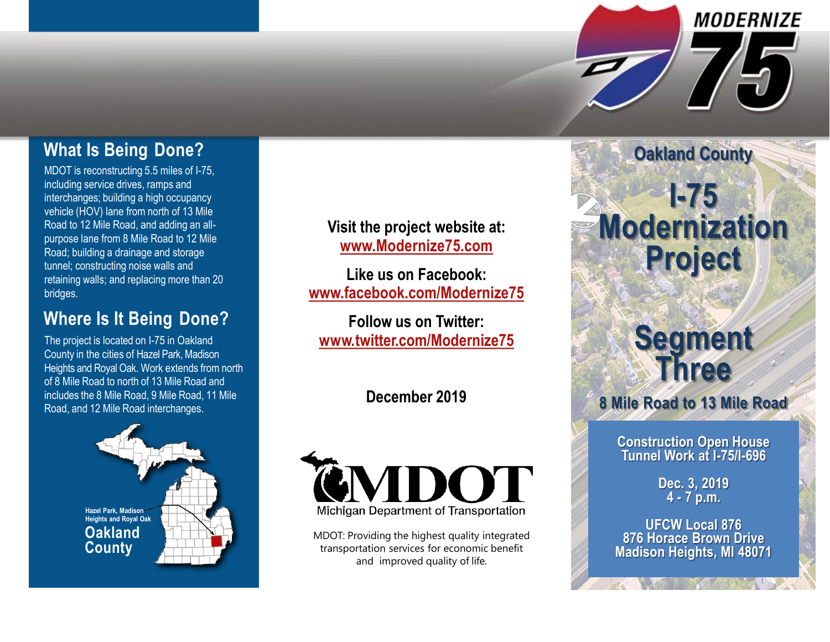## **What Is Being Done?**

MDOT is reconstructing 5.5 miles of I-75, including service drives, ramps and interchanges; building a high occupancy vehicle (HOV) lane from north of 13 Mile Road to 12 Mile Road, and adding an allpurpose lane from 8 Mile Road to 12 Mile Road; building a drainage and storage tunnel; constructing noise walls and retaining walls; and replacing more than 20 bridges.

## **Where Is It Being Done?**

The project is located on I-75 in Oakland County in the cities of Hazel Park, Madison Heights and Royal Oak. Work extends from north of 8 Mile Road to north of 13 Mile Road and includes the 8 Mile Road, 9 Mile Road, 11 Mile Road, and 12 Mile Road interchanges.



**Visit the project website at: [www.Modernize75.com](http://www.modernize75.com/)**

**Like us on Facebook: [www.facebook.com/Modernize75](http://www.facebook.com/Modernize75)**

**Follow us on Twitter: [www.twitter.com/Modernize75](http://www.twitter.com/modernize75)**

### **December 2019**



MDOT: Providing the highest quality integrated transportation services for economic benefit and improved quality of life.

# **I-75 Modernization Project**

**Oakland County**

**MODERNIZE** 

## **Segment Three**

**8 Mile Road to 13 Mile Road**

**Construction Open House Tunnel Work at I-75/I-696**

> **Dec. 3, 2019 4 - 7 p.m.**

**UFCW Local 876 876 Horace Brown Drive Madison Heights, MI 48071**